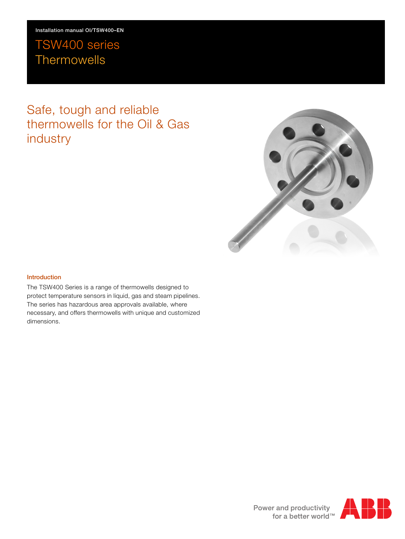# TSW400 series **Thermowells**

# Safe, tough and reliable thermowells for the Oil & Gas industry



#### **Introduction**

The TSW400 Series is a range of thermowells designed to protect temperature sensors in liquid, gas and steam pipelines. The series has hazardous area approvals available, where necessary, and offers thermowells with unique and customized dimensions.

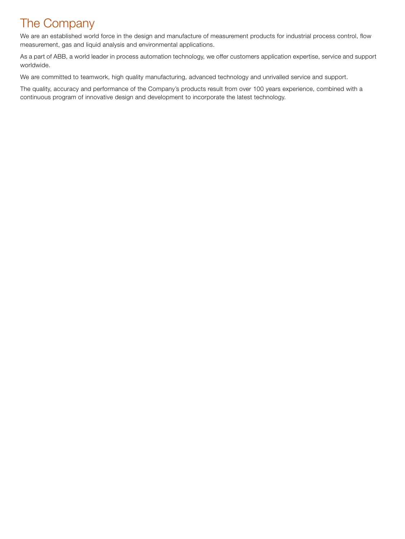# The Company

We are an established world force in the design and manufacture of measurement products for industrial process control, flow measurement, gas and liquid analysis and environmental applications.

As a part of ABB, a world leader in process automation technology, we offer customers application expertise, service and support worldwide.

We are committed to teamwork, high quality manufacturing, advanced technology and unrivalled service and support.

The quality, accuracy and performance of the Company's products result from over 100 years experience, combined with a continuous program of innovative design and development to incorporate the latest technology.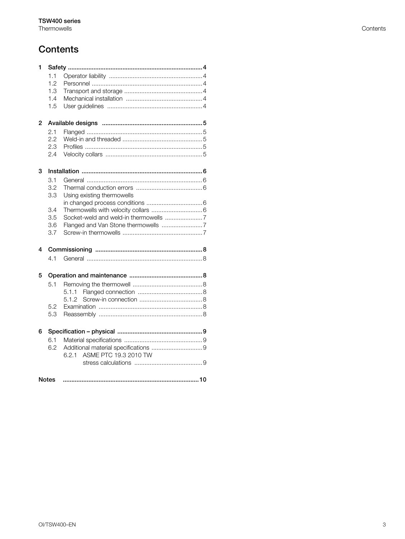# **Contents**

| 1              |     |                              |  |
|----------------|-----|------------------------------|--|
|                | 1.1 |                              |  |
|                | 1.2 |                              |  |
|                | 1.3 |                              |  |
|                | 1.4 |                              |  |
|                | 1.5 |                              |  |
|                |     |                              |  |
| $\overline{2}$ |     |                              |  |
|                | 2.1 |                              |  |
|                | 2.2 |                              |  |
|                | 2.3 |                              |  |
|                | 2.4 |                              |  |
| 3              |     |                              |  |
|                | 3.1 |                              |  |
|                | 3.2 |                              |  |
|                | 3.3 | Using existing thermowells   |  |
|                |     |                              |  |
|                | 3.4 |                              |  |
|                | 3.5 |                              |  |
|                | 3.6 |                              |  |
|                | 3.7 |                              |  |
| 4              |     |                              |  |
|                |     |                              |  |
|                | 4.1 |                              |  |
| 5              |     |                              |  |
|                | 5.1 |                              |  |
|                |     | 5.1.1                        |  |
|                |     | 5.1.2                        |  |
|                | 5.2 |                              |  |
|                | 5.3 |                              |  |
|                |     |                              |  |
| 6              |     |                              |  |
|                | 6.1 |                              |  |
|                | 6.2 |                              |  |
|                |     | ASME PTC 19.3 2010 TW<br>621 |  |
|                |     |                              |  |
|                |     |                              |  |
| <b>Notes</b>   |     |                              |  |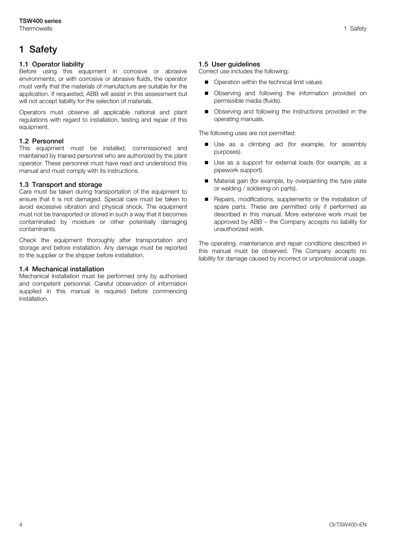# <span id="page-3-0"></span>**1 Safety**

## <span id="page-3-1"></span>**1.1 Operator liability**

Before using this equipment in corrosive or abrasive environments, or with corrosive or abrasive fluids, the operator must verify that the materials of manufacture are suitable for the application. If requested, ABB will assist in this assessment but will not accept liability for the selection of materials.

Operators must observe all applicable national and plant regulations with regard to installation, testing and repair of this equipment.

## <span id="page-3-2"></span>**1.2 Personnel**

This equipment must be installed, commissioned and maintained by trained personnel who are authorized by the plant operator. These personnel must have read and understood this manual and must comply with its instructions.

## <span id="page-3-3"></span>**1.3 Transport and storage**

Care must be taken during transportation of the equipment to ensure that it is not damaged. Special care must be taken to avoid excessive vibration and physical shock. The equipment must not be transported or stored in such a way that it becomes contaminated by moisture or other potentially damaging contaminants.

Check the equipment thoroughly after transportation and storage and before installation. Any damage must be reported to the supplier or the shipper before installation.

#### <span id="page-3-4"></span>**1.4 Mechanical installation**

Mechanical installation must be performed only by authorised and competent personnel. Careful observation of information supplied in this manual is required before commencing installation.

## <span id="page-3-5"></span>**1.5 User guidelines**

Correct use includes the following:

- Operation within the technical limit values
- Observing and following the information provided on permissible media (fluids).
- Observing and following the instructions provided in the operating manuals.

The following uses are not permitted:

- Use as a climbing aid (for example, for assembly purposes).
- Use as a support for external loads (for example, as a pipework support).
- Material gain (for example, by overpainting the type plate or welding / soldering on parts).
- Repairs, modifications, supplements or the installation of spare parts. These are permitted only if performed as described in this manual. More extensive work must be approved by ABB – the Company accepts no liability for unauthorized work.

The operating, maintenance and repair conditions described in this manual must be observed. The Company accepts no liability for damage caused by incorrect or unprofessional usage.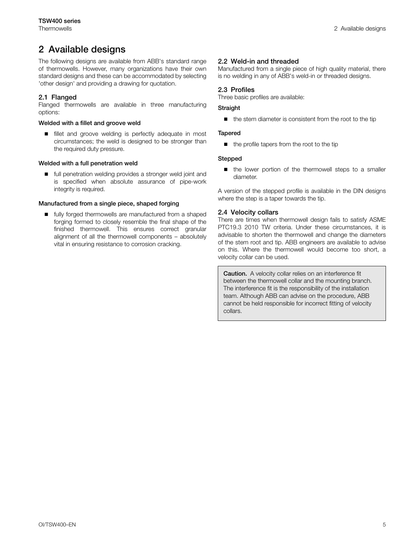# <span id="page-4-0"></span>**2 Available designs**

The following designs are available from ABB's standard range of thermowells. However, many organizations have their own standard designs and these can be accommodated by selecting 'other design' and providing a drawing for quotation.

### <span id="page-4-1"></span>**2.1 Flanged**

Flanged thermowells are available in three manufacturing options:

#### **Welded with a fillet and groove weld**

**fillet and groove welding is perfectly adequate in most** circumstances; the weld is designed to be stronger than the required duty pressure.

#### **Welded with a full penetration weld**

■ full penetration welding provides a stronger weld joint and is specified when absolute assurance of pipe-work integrity is required.

#### **Manufactured from a single piece, shaped forging**

■ fully forged thermowells are manufactured from a shaped forging formed to closely resemble the final shape of the finished thermowell. This ensures correct granular alignment of all the thermowell components – absolutely vital in ensuring resistance to corrosion cracking.

#### <span id="page-4-2"></span>**2.2 Weld-in and threaded**

Manufactured from a single piece of high quality material, there is no welding in any of ABB's weld-in or threaded designs.

#### <span id="page-4-3"></span>**2.3 Profiles**

Three basic profiles are available:

#### **Straight**

 $\blacksquare$  the stem diameter is consistent from the root to the tip

#### **Tapered**

 $\blacksquare$  the profile tapers from the root to the tip

#### **Stepped**

■ the lower portion of the thermowell steps to a smaller diameter.

A version of the stepped profile is available in the DIN designs where the step is a taper towards the tip.

#### <span id="page-4-4"></span>**2.4 Velocity collars**

There are times when thermowell design fails to satisfy ASME PTC19.3 2010 TW criteria. Under these circumstances, it is advisable to shorten the thermowell and change the diameters of the stem root and tip. ABB engineers are available to advise on this. Where the thermowell would become too short, a velocity collar can be used.

**Caution.** A velocity collar relies on an interference fit between the thermowell collar and the mounting branch. The interference fit is the responsibility of the installation team. Although ABB can advise on the procedure, ABB cannot be held responsible for incorrect fitting of velocity collars.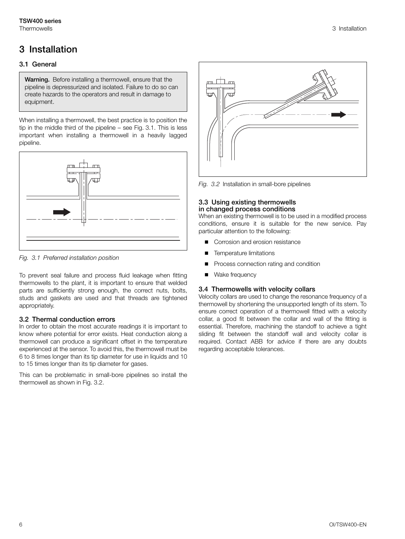# <span id="page-5-7"></span><span id="page-5-0"></span>**3 Installation**

# <span id="page-5-1"></span>**3.1 General**

**Warning.** Before installing a thermowell, ensure that the pipeline is depressurized and isolated. Failure to do so can create hazards to the operators and result in damage to equipment.

When installing a thermowell, the best practice is to position the tip in the middle third of the pipeline – see [Fig. 3.1](#page-5-5). This is less important when installing a thermowell in a heavily lagged pipeline.

<span id="page-5-5"></span>

*Fig. 3.1 Preferred installation position*

To prevent seal failure and process fluid leakage when fitting thermowells to the plant, it is important to ensure that welded parts are sufficiently strong enough, the correct nuts, bolts, studs and gaskets are used and that threads are tightened appropriately.

# <span id="page-5-2"></span>**3.2 Thermal conduction errors**

In order to obtain the most accurate readings it is important to know where potential for error exists. Heat conduction along a thermowell can produce a significant offset in the temperature experienced at the sensor. To avoid this, the thermowell must be 6 to 8 times longer than its tip diameter for use in liquids and 10 to 15 times longer than its tip diameter for gases.

This can be problematic in small-bore pipelines so install the thermowell as shown in [Fig. 3.2.](#page-5-6)

<span id="page-5-6"></span>

*Fig. 3.2* Installation in small-bore pipelines

#### <span id="page-5-3"></span>**3.3 Using existing thermowells in changed process conditions**

When an existing thermowell is to be used in a modified process conditions, ensure it is suitable for the new service. Pay particular attention to the following:

- Corrosion and erosion resistance
- Temperature limitations
- Process connection rating and condition
- <span id="page-5-4"></span>Wake frequency

## **3.4 Thermowells with velocity collars**

Velocity collars are used to change the resonance frequency of a thermowell by shortening the unsupported length of its stem. To ensure correct operation of a thermowell fitted with a velocity collar, a good fit between the collar and wall of the fitting is essential. Therefore, machining the standoff to achieve a tight sliding fit between the standoff wall and velocity collar is required. Contact ABB for advice if there are any doubts regarding acceptable tolerances.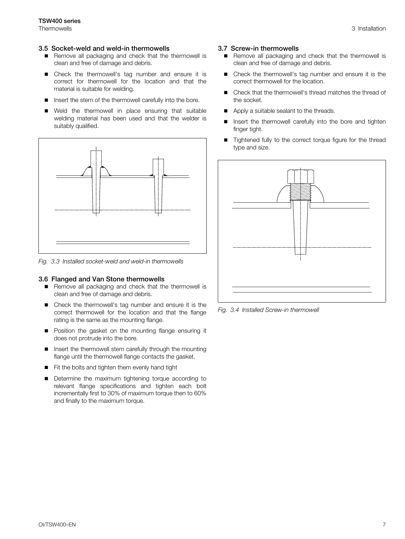#### <span id="page-6-0"></span>**3.5 Socket-weld and weld-in thermowells**

- Remove all packaging and check that the thermowell is clean and free of damage and debris.
- Check the thermowell's tag number and ensure it is correct for thermowell for the location and that the material is suitable for welding.
- Insert the stem of the thermowell carefully into the bore.
- Weld the thermowell in place ensuring that suitable welding material has been used and that the welder is suitably qualified.



*Fig. 3.3 Installed socket-weld and weld-in thermowells*

#### <span id="page-6-1"></span>**3.6 Flanged and Van Stone thermowells**

- Remove all packaging and check that the thermowell is clean and free of damage and debris.
- Check the thermowell's tag number and ensure it is the correct thermowell for the location and that the flange rating is the same as the mounting flange.
- **Position the gasket on the mounting flange ensuring it** does not protrude into the bore.
- Insert the thermowell stem carefully through the mounting flange until the thermowell flange contacts the gasket.
- Fit the bolts and tighten them evenly hand tight
- Determine the maximum tightening torque according to relevant flange specifications and tighten each bolt incrementally first to 30% of maximum torque then to 60% and finally to the maximum torque.

#### <span id="page-6-2"></span>**3.7 Screw-in thermowells**

- Remove all packaging and check that the thermowell is clean and free of damage and debris.
- Check the thermowell's tag number and ensure it is the correct thermowell for the location.
- Check that the thermowell's thread matches the thread of the socket.
- Apply a suitable sealant to the threads.
- Insert the thermowell carefully into the bore and tighten finger tight.
- Tightened fully to the correct torque figure for the thread type and size.



*Fig. 3.4 Installed Screw-in thermowell*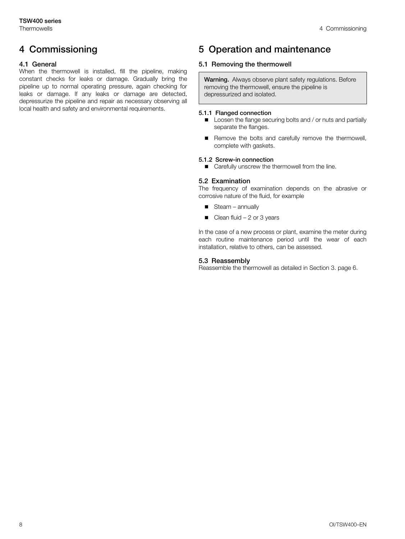# <span id="page-7-0"></span>**4 Commissioning**

## <span id="page-7-1"></span>**4.1 General**

When the thermowell is installed, fill the pipeline, making constant checks for leaks or damage. Gradually bring the pipeline up to normal operating pressure, again checking for leaks or damage. If any leaks or damage are detected, depressurize the pipeline and repair as necessary observing all local health and safety and environmental requirements.

# <span id="page-7-2"></span>**5 Operation and maintenance**

# <span id="page-7-3"></span>**5.1 Removing the thermowell**

**Warning.** Always observe plant safety regulations. Before removing the thermowell, ensure the pipeline is depressurized and isolated.

#### **5.1.1 Flanged connection**

- <span id="page-7-4"></span>**Loosen the flange securing bolts and / or nuts and partially** separate the flanges.
- Remove the bolts and carefully remove the thermowell, complete with gaskets.

#### **5.1.2 Screw-in connection**

<span id="page-7-6"></span><span id="page-7-5"></span>■ Carefully unscrew the thermowell from the line.

#### **5.2 Examination**

The frequency of examination depends on the abrasive or corrosive nature of the fluid, for example

- $\blacksquare$  Steam annually
- $\Box$  Clean fluid 2 or 3 years

In the case of a new process or plant, examine the meter during each routine maintenance period until the wear of each installation, relative to others, can be assessed.

#### <span id="page-7-7"></span>**5.3 Reassembly**

Reassemble the thermowell as detailed in Section [3](#page-5-7). page [6](#page-5-7).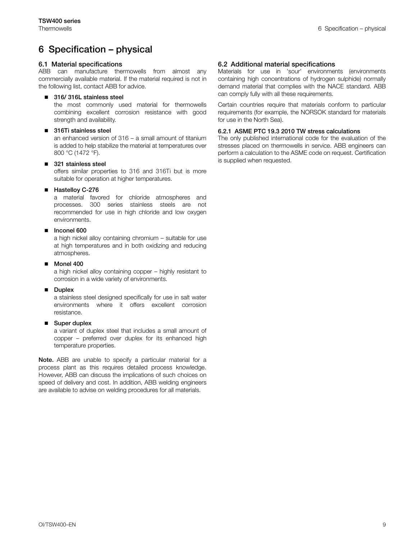# <span id="page-8-0"></span>**6 Specification – physical**

#### <span id="page-8-1"></span>**6.1 Material specifications**

ABB can manufacture thermowells from almost any commercially available material. If the material required is not in the following list, contact ABB for advice.

#### **316/ 316L stainless steel**

the most commonly used material for thermowells combining excellent corrosion resistance with good strength and availability.

#### ■ 316Ti stainless steel

an enhanced version of 316 – a small amount of titanium is added to help stabilize the material at temperatures over 800 °C (1472 °F).

#### **321 stainless steel**

offers similar properties to 316 and 316Ti but is more suitable for operation at higher temperatures.

#### **Hastelloy C-276**

a material favored for chloride atmospheres and processes. 300 series stainless steels are not recommended for use in high chloride and low oxygen environments.

#### **Inconel 600**

a high nickel alloy containing chromium – suitable for use at high temperatures and in both oxidizing and reducing atmospheres.

#### **Monel 400**

a high nickel alloy containing copper – highly resistant to corrosion in a wide variety of environments.

#### **Duplex**

a stainless steel designed specifically for use in salt water environments where it offers excellent corrosion resistance.

#### ■ Super duplex

a variant of duplex steel that includes a small amount of copper – preferred over duplex for its enhanced high temperature properties.

**Note.** ABB are unable to specify a particular material for a process plant as this requires detailed process knowledge. However, ABB can discuss the implications of such choices on speed of delivery and cost. In addition, ABB welding engineers are available to advise on welding procedures for all materials.

#### <span id="page-8-2"></span>**6.2 Additional material specifications**

Materials for use in 'sour' environments (environments containing high concentrations of hydrogen sulphide) normally demand material that complies with the NACE standard. ABB can comply fully with all these requirements.

Certain countries require that materials conform to particular requirements (for example, the NORSOK standard for materials for use in the North Sea).

### <span id="page-8-3"></span>**6.2.1 ASME PTC 19.3 2010 TW stress calculations**

The only published international code for the evaluation of the stresses placed on thermowells in service. ABB engineers can perform a calculation to the ASME code on request. Certification is supplied when requested.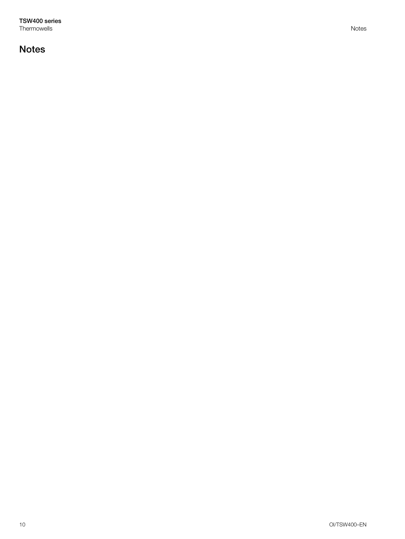**TSW400 series** Thermowells Notes

# <span id="page-9-0"></span>**Notes**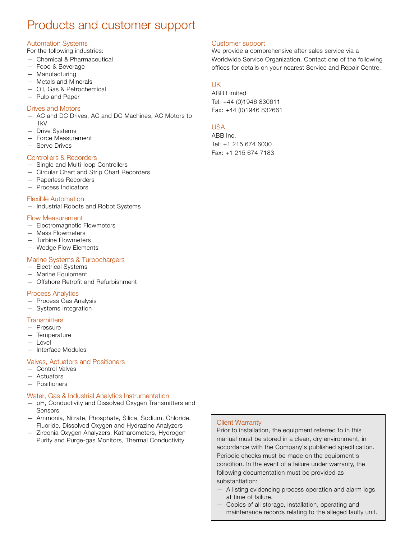# Products and customer support

# Automation Systems

For the following industries:

- Chemical & Pharmaceutical
- Food & Beverage
- Manufacturing
- Metals and Minerals
- Oil, Gas & Petrochemical
- Pulp and Paper

### Drives and Motors

— AC and DC Drives, AC and DC Machines, AC Motors to 1kV

- Drive Systems
- Force Measurement
- Servo Drives

## Controllers & Recorders

- Single and Multi-loop Controllers
- Circular Chart and Strip Chart Recorders
- Paperless Recorders
- Process Indicators

#### Flexible Automation

— Industrial Robots and Robot Systems

#### Flow Measurement

- Electromagnetic Flowmeters
- Mass Flowmeters
- Turbine Flowmeters
- Wedge Flow Elements

## Marine Systems & Turbochargers

- Electrical Systems
- Marine Equipment
- Offshore Retrofit and Refurbishment

#### Process Analytics

- Process Gas Analysis
- Systems Integration

## **Transmitters**

- Pressure
- Temperature
- Level
- Interface Modules

#### Valves, Actuators and Positioners

- Control Valves
- Actuators
- Positioners

#### Water, Gas & Industrial Analytics Instrumentation

- pH, Conductivity and Dissolved Oxygen Transmitters and Sensors
- Ammonia, Nitrate, Phosphate, Silica, Sodium, Chloride, Fluoride, Dissolved Oxygen and Hydrazine Analyzers
- Zirconia Oxygen Analyzers, Katharometers, Hydrogen Purity and Purge-gas Monitors, Thermal Conductivity

### Customer support

We provide a comprehensive after sales service via a Worldwide Service Organization. Contact one of the following offices for details on your nearest Service and Repair Centre.

# UK

ABB Limited Tel: +44 (0)1946 830611 Fax: +44 (0)1946 832661

# USA

ABB Inc. Tel: +1 215 674 6000 Fax: +1 215 674 7183

## Client Warranty

Prior to installation, the equipment referred to in this manual must be stored in a clean, dry environment, in accordance with the Company's published specification. Periodic checks must be made on the equipment's condition. In the event of a failure under warranty, the following documentation must be provided as substantiation:

- A listing evidencing process operation and alarm logs at time of failure.
- Copies of all storage, installation, operating and maintenance records relating to the alleged faulty unit.